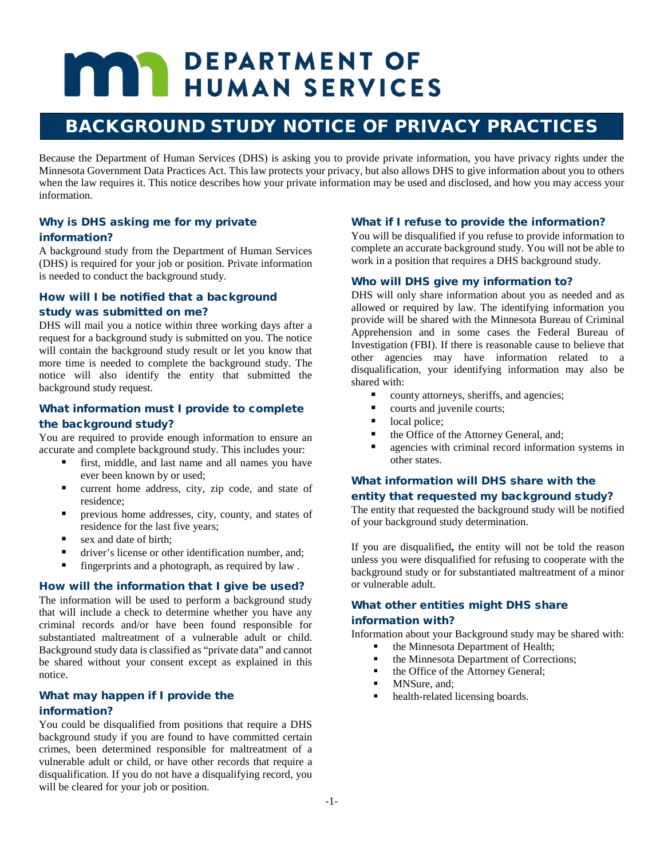# **MAY DEPARTMENT OF HUMAN SERVICES**

# BACKGROUND STUDY NOTICE OF PRIVACY PRACTICES

Because the Department of Human Services (DHS) is asking you to provide private information, you have privacy rights under the Minnesota Government Data Practices Act. This law protects your privacy, but also allows DHS to give information about you to others when the law requires it. This notice describes how your private information may be used and disclosed, and how you may access your information.

## Why is DHS asking me for my private information?

A background study from the Department of Human Services (DHS) is required for your job or position. Private information is needed to conduct the background study.

# How will I be notified that a background study was submitted on me?

DHS will mail you a notice within three working days after a request for a background study is submitted on you. The notice will contain the background study result or let you know that more time is needed to complete the background study. The notice will also identify the entity that submitted the background study request.

# What information must I provide to complete the background study?

You are required to provide enough information to ensure an accurate and complete background study. This includes your:

- first, middle, and last name and all names you have ever been known by or used;
- current home address, city, zip code, and state of residence;
- previous home addresses, city, county, and states of residence for the last five years;
- sex and date of birth:
- driver's license or other identification number, and:
- fingerprints and a photograph, as required by law .

#### How will the information that I give be used?

The information will be used to perform a background study that will include a check to determine whether you have any criminal records and/or have been found responsible for substantiated maltreatment of a vulnerable adult or child. Background study data is classified as "private data" and cannot be shared without your consent except as explained in this notice.

## What may happen if I provide the information?

You could be disqualified from positions that require a DHS background study if you are found to have committed certain crimes, been determined responsible for maltreatment of a vulnerable adult or child, or have other records that require a disqualification. If you do not have a disqualifying record, you will be cleared for your job or position.

#### What if I refuse to provide the information?

You will be disqualified if you refuse to provide information to complete an accurate background study. You will not be able to work in a position that requires a DHS background study.

#### Who will DHS give my information to?

DHS will only share information about you as needed and as allowed or required by law. The identifying information you provide will be shared with the Minnesota Bureau of Criminal Apprehension and in some cases the Federal Bureau of Investigation (FBI). If there is reasonable cause to believe that other agencies may have information related to a disqualification, your identifying information may also be shared with:

- **•** county attorneys, sheriffs, and agencies;
- courts and juvenile courts;
- local police;
- the Office of the Attorney General, and;
- agencies with criminal record information systems in other states.

## What information will DHS share with the entity that requested my background study?

The entity that requested the background study will be notified of your background study determination.

If you are disqualified**,** the entity will not be told the reason unless you were disqualified for refusing to cooperate with the background study or for substantiated maltreatment of a minor or vulnerable adult.

# What other entities might DHS share information with?

Information about your Background study may be shared with:

- the Minnesota Department of Health;
- the Minnesota Department of Corrections;
- the Office of the Attorney General;
- MNSure, and:
- health-related licensing boards.